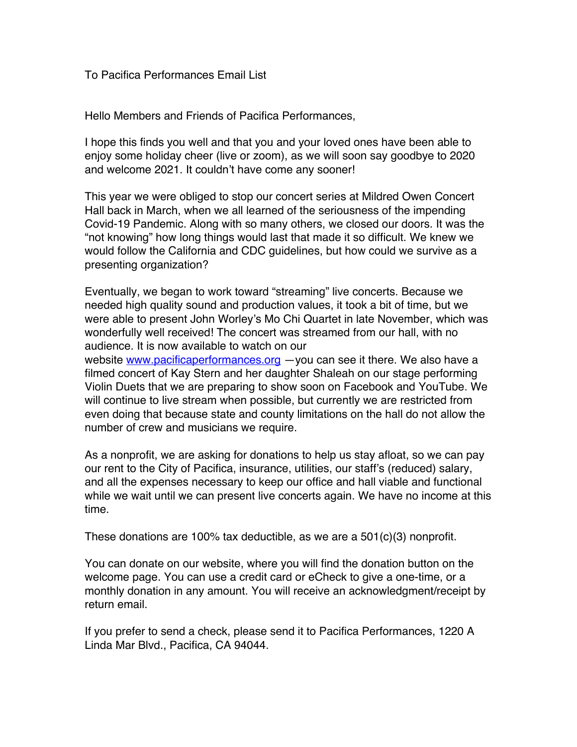## To Pacifica Performances Email List

Hello Members and Friends of Pacifica Performances,

I hope this finds you well and that you and your loved ones have been able to enjoy some holiday cheer (live or zoom), as we will soon say goodbye to 2020 and welcome 2021. It couldn't have come any sooner!

This year we were obliged to stop our concert series at Mildred Owen Concert Hall back in March, when we all learned of the seriousness of the impending Covid-19 Pandemic. Along with so many others, we closed our doors. It was the "not knowing" how long things would last that made it so difficult. We knew we would follow the California and CDC guidelines, but how could we survive as a presenting organization?

Eventually, we began to work toward "streaming" live concerts. Because we needed high quality sound and production values, it took a bit of time, but we were able to present John Worley's Mo Chi Quartet in late November, which was wonderfully well received! The concert was streamed from our hall, with no audience. It is now available to watch on our

website www.pacificaperformances.org - you can see it there. We also have a filmed concert of Kay Stern and her daughter Shaleah on our stage performing Violin Duets that we are preparing to show soon on Facebook and YouTube. We will continue to live stream when possible, but currently we are restricted from even doing that because state and county limitations on the hall do not allow the number of crew and musicians we require.

As a nonprofit, we are asking for donations to help us stay afloat, so we can pay our rent to the City of Pacifica, insurance, utilities, our staff's (reduced) salary, and all the expenses necessary to keep our office and hall viable and functional while we wait until we can present live concerts again. We have no income at this time.

These donations are 100% tax deductible, as we are a  $501(c)(3)$  nonprofit.

You can donate on our website, where you will find the donation button on the welcome page. You can use a credit card or eCheck to give a one-time, or a monthly donation in any amount. You will receive an acknowledgment/receipt by return email.

If you prefer to send a check, please send it to Pacifica Performances, 1220 A Linda Mar Blvd., Pacifica, CA 94044.